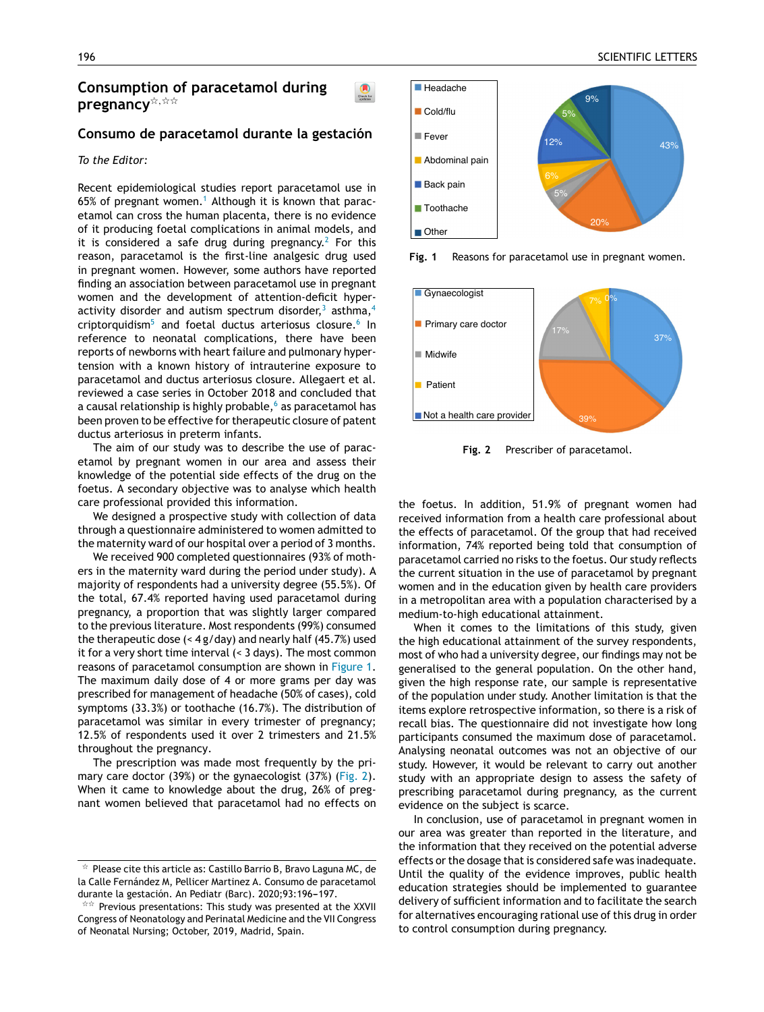# **Consumption of paracetamol during** pregnancy<sup>\*,\*\*</sup>

## **Consumo de paracetamol durante la gestación**

#### *To the Editor:*

Recent epidemiological studies report paracetamol use in 65% of pregnant women.<sup>[1](#page-1-0)</sup> Although it is known that paracetamol can cross the human placenta, there is no evidence of it producing foetal complications in animal models, and it is considered a safe drug during pregnancy.<sup>[2](#page-1-0)</sup> For this reason, paracetamol is the first-line analgesic drug [used](http://crossmark.crossref.org/dialog/?doi=10.1016/j.anpede.2019.12.007&domain=pdf) in pregnant women. However, some authors have reported finding an association between paracetamol use in pregnant women and the development of attention-deficit hyperactivity disorder and autism spectrum disorder, $3$  asthma,  $4$ criptorquidism<sup>[5](#page-1-0)</sup> and foetal ductus arteriosus closure.<sup>[6](#page-1-0)</sup> In reference to neonatal complications, there have been reports of newborns with heart failure and pulmonary hypertension with a known history of intrauterine exposure to paracetamol and ductus arteriosus closure. Allegaert et al. reviewed a case series in October 2018 and concluded that [a](#page-1-0) causal relationship is highly probable, $6$  as paracetamol has been proven to be effective for therapeutic closure of patent ductus arteriosus in preterm infants.

The aim of our study was to describe the use of paracetamol by pregnant women in our area and assess their knowledge of the potential side effects of the drug on the foetus. A secondary objective was to analyse which health care professional provided this information.

We designed a prospective study with collection of data through a questionnaire administered to women admitted to the maternity ward of our hospital over a period of 3 months.

We received 900 completed questionnaires (93% of mothers in the maternity ward during the period under study). A majority of respondents had a university degree (55.5%). Of the total, 67.4% reported having used paracetamol during pregnancy, a proportion that was slightly larger compared to the previous literature. Most respondents (99%) consumed the therapeutic dose (< 4 g/day) and nearly half (45.7%) used it for a very short time interval (< 3 days). The most common reasons of paracetamol consumption are shown in Figure 1. The maximum daily dose of 4 or more grams per day was prescribed for management of headache (50% of cases), cold symptoms (33.3%) or toothache (16.7%). The distribution of paracetamol was similar in every trimester of pregnancy; 12.5% of respondents used it over 2 trimesters and 21.5% throughout the pregnancy.

The prescription was made most frequently by the primary care doctor (39%) or the gynaecologist (37%) (Fig. 2). When it came to knowledge about the drug, 26% of pregnant women believed that paracetamol had no effects on



**Fig. 1** Reasons for paracetamol use in pregnant women.



**[F](http://refhub.elsevier.com/S2341-2879(20)30129-0/sbref0015)i[g.](http://refhub.elsevier.com/S2341-2879(20)30129-0/sbref0015) 2** Prescriber of paracetamol.

the [foetus.](dx.doi.org/10.1177/0884533613497763) In addition, 51.9% of pregnant women had received information from a health care professional about the effects of paracetamol. Of the group that had received information, 74% reported being told that consumption of paracetamol carried no risks to the foetus. Our study [reflec](dx.doi.org/10.1177/0148607114566464)ts the current [situation](dx.doi.org/10.1177/0148607114566464) in the use of paracetamol by pregnant women and in the education given by health care providers in a metropolitan area with a population characterised by a [medium-to-high](dx.doi.org/10.3389/fped.2018.00381) educational attainment.

When it comes to the limitations of this study, given the high educational attainment of the survey respondents, most of who had a university degree, our findings may not be generalised to the general population. On the other hand, given the high response rate, our sample is representative of the population under study. Another limitation is that the items explore retrospective information, so there is a risk of recall bias. The questionnaire did not investigate how long participants consumed the maximum dose of paracetamol. Analysing neonatal outcomes was not an objective of our study. However, it would be relevant to carry out another study with an appropriate design to assess the safety of prescribing paracetamol during pregnancy, as the current evidence on the [subject](mailto:sylvia.caballero@salud.madrid.org) is scarce.

In conclusion, use of paracetamol in pregnant women in our area was greater than reported in the literature, and the information that they received on the potential adverse effects or the dosage that is considered safe was inadequate. Until the quality of the e[vidence](http://creativecommons.org/licenses/by-nc-nd/4.0/) [improves,](http://creativecommons.org/licenses/by-nc-nd/4.0/) pu[blic](http://creativecommons.org/licenses/by-nc-nd/4.0/) health [education](http://creativecommons.org/licenses/by-nc-nd/4.0/) [strategie](http://creativecommons.org/licenses/by-nc-nd/4.0/)s should be implemented to guarantee delivery of sufficient information and to facilitate the search for alternatives encouraging rational use of this drug in order to control consumption during pregnancy.

 $\star$  Please cite this article as: Castillo Barrio B, Bravo Laguna MC, de la Calle Fernández M, Pellicer Martinez A. Consumo de paracetamol durante la gestación. An Pediatr (Barc). 2020;93:196-197.

<sup>\*\*</sup> Previous presentations: This study was presented at the XXVII Congress of Neonatology and Perinatal Medicine and the VII Congress of Neonatal Nursing; October, 2019, Madrid, Spain.